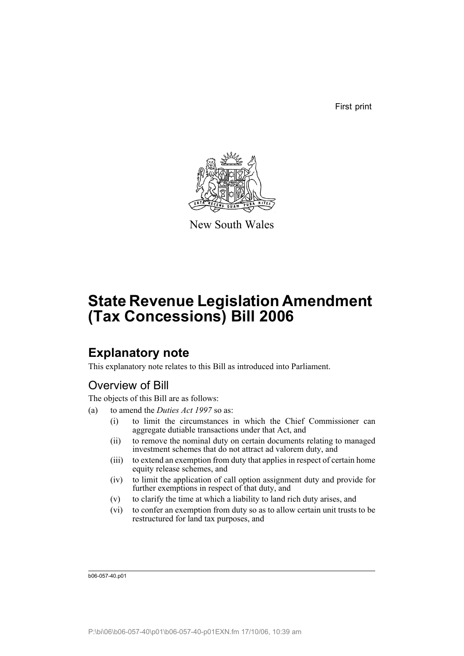First print



New South Wales

# **State Revenue Legislation Amendment (Tax Concessions) Bill 2006**

## **Explanatory note**

This explanatory note relates to this Bill as introduced into Parliament.

## Overview of Bill

The objects of this Bill are as follows:

- (a) to amend the *Duties Act 1997* so as:
	- (i) to limit the circumstances in which the Chief Commissioner can aggregate dutiable transactions under that Act, and
	- (ii) to remove the nominal duty on certain documents relating to managed investment schemes that do not attract ad valorem duty, and
	- (iii) to extend an exemption from duty that applies in respect of certain home equity release schemes, and
	- (iv) to limit the application of call option assignment duty and provide for further exemptions in respect of that duty, and
	- (v) to clarify the time at which a liability to land rich duty arises, and
	- (vi) to confer an exemption from duty so as to allow certain unit trusts to be restructured for land tax purposes, and

b06-057-40.p01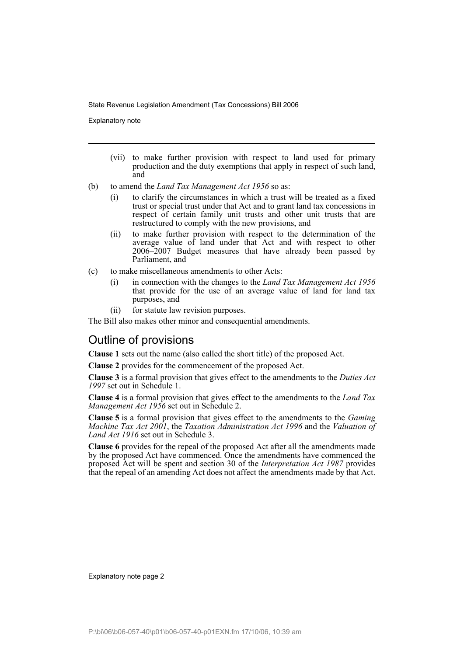Explanatory note

- (vii) to make further provision with respect to land used for primary production and the duty exemptions that apply in respect of such land, and
- (b) to amend the *Land Tax Management Act 1956* so as:
	- (i) to clarify the circumstances in which a trust will be treated as a fixed trust or special trust under that Act and to grant land tax concessions in respect of certain family unit trusts and other unit trusts that are restructured to comply with the new provisions, and
	- (ii) to make further provision with respect to the determination of the average value of land under that Act and with respect to other 2006–2007 Budget measures that have already been passed by Parliament, and
- (c) to make miscellaneous amendments to other Acts:
	- (i) in connection with the changes to the *Land Tax Management Act 1956* that provide for the use of an average value of land for land tax purposes, and
	- (ii) for statute law revision purposes.

The Bill also makes other minor and consequential amendments.

## Outline of provisions

**Clause 1** sets out the name (also called the short title) of the proposed Act.

**Clause 2** provides for the commencement of the proposed Act.

**Clause 3** is a formal provision that gives effect to the amendments to the *Duties Act 1997* set out in Schedule 1.

**Clause 4** is a formal provision that gives effect to the amendments to the *Land Tax Management Act 1956* set out in Schedule 2.

**Clause 5** is a formal provision that gives effect to the amendments to the *Gaming Machine Tax Act 2001*, the *Taxation Administration Act 1996* and the *Valuation of Land Act 1916* set out in Schedule 3.

**Clause 6** provides for the repeal of the proposed Act after all the amendments made by the proposed Act have commenced. Once the amendments have commenced the proposed Act will be spent and section 30 of the *Interpretation Act 1987* provides that the repeal of an amending Act does not affect the amendments made by that Act.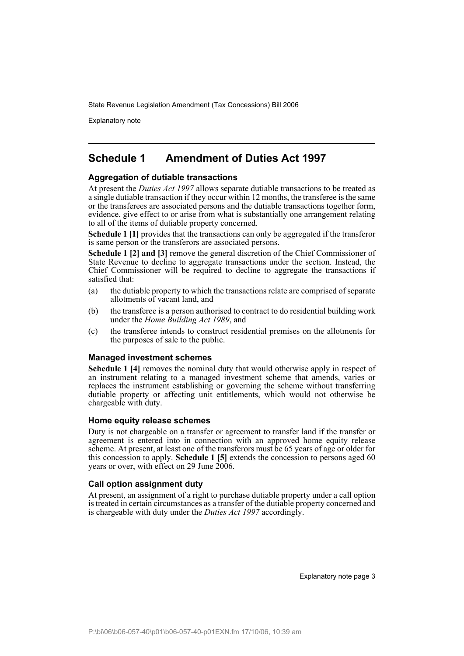Explanatory note

## **Schedule 1 Amendment of Duties Act 1997**

## **Aggregation of dutiable transactions**

At present the *Duties Act 1997* allows separate dutiable transactions to be treated as a single dutiable transaction if they occur within 12 months, the transferee is the same or the transferees are associated persons and the dutiable transactions together form, evidence, give effect to or arise from what is substantially one arrangement relating to all of the items of dutiable property concerned.

**Schedule 1 [1]** provides that the transactions can only be aggregated if the transferor is same person or the transferors are associated persons.

**Schedule 1 [2] and [3]** remove the general discretion of the Chief Commissioner of State Revenue to decline to aggregate transactions under the section. Instead, the Chief Commissioner will be required to decline to aggregate the transactions if satisfied that:

- (a) the dutiable property to which the transactions relate are comprised of separate allotments of vacant land, and
- (b) the transferee is a person authorised to contract to do residential building work under the *Home Building Act 1989*, and
- (c) the transferee intends to construct residential premises on the allotments for the purposes of sale to the public.

### **Managed investment schemes**

**Schedule 1 [4]** removes the nominal duty that would otherwise apply in respect of an instrument relating to a managed investment scheme that amends, varies or replaces the instrument establishing or governing the scheme without transferring dutiable property or affecting unit entitlements, which would not otherwise be chargeable with duty.

### **Home equity release schemes**

Duty is not chargeable on a transfer or agreement to transfer land if the transfer or agreement is entered into in connection with an approved home equity release scheme. At present, at least one of the transferors must be 65 years of age or older for this concession to apply. **Schedule 1 [5]** extends the concession to persons aged 60 years or over, with effect on 29 June 2006.

### **Call option assignment duty**

At present, an assignment of a right to purchase dutiable property under a call option is treated in certain circumstances as a transfer of the dutiable property concerned and is chargeable with duty under the *Duties Act 1997* accordingly.

Explanatory note page 3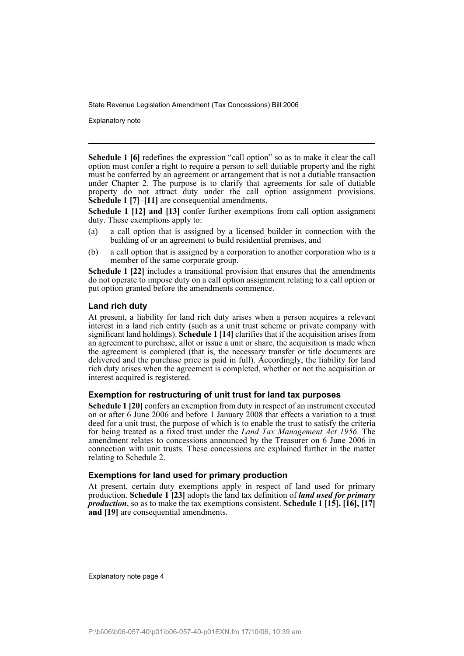Explanatory note

**Schedule 1 [6]** redefines the expression "call option" so as to make it clear the call option must confer a right to require a person to sell dutiable property and the right must be conferred by an agreement or arrangement that is not a dutiable transaction under Chapter 2. The purpose is to clarify that agreements for sale of dutiable property do not attract duty under the call option assignment provisions. **Schedule 1 [7]–[11]** are consequential amendments.

**Schedule 1 [12] and [13]** confer further exemptions from call option assignment duty. These exemptions apply to:

- (a) a call option that is assigned by a licensed builder in connection with the building of or an agreement to build residential premises, and
- (b) a call option that is assigned by a corporation to another corporation who is a member of the same corporate group.

**Schedule 1 [22]** includes a transitional provision that ensures that the amendments do not operate to impose duty on a call option assignment relating to a call option or put option granted before the amendments commence.

## **Land rich duty**

At present, a liability for land rich duty arises when a person acquires a relevant interest in a land rich entity (such as a unit trust scheme or private company with significant land holdings). **Schedule 1 [14]** clarifies that if the acquisition arises from an agreement to purchase, allot or issue a unit or share, the acquisition is made when the agreement is completed (that is, the necessary transfer or title documents are delivered and the purchase price is paid in full). Accordingly, the liability for land rich duty arises when the agreement is completed, whether or not the acquisition or interest acquired is registered.

### **Exemption for restructuring of unit trust for land tax purposes**

**Schedule 1 [20]** confers an exemption from duty in respect of an instrument executed on or after 6 June 2006 and before 1 January 2008 that effects a variation to a trust deed for a unit trust, the purpose of which is to enable the trust to satisfy the criteria for being treated as a fixed trust under the *Land Tax Management Act 1956*. The amendment relates to concessions announced by the Treasurer on 6 June 2006 in connection with unit trusts. These concessions are explained further in the matter relating to Schedule 2.

### **Exemptions for land used for primary production**

At present, certain duty exemptions apply in respect of land used for primary production. **Schedule 1 [23]** adopts the land tax definition of *land used for primary production*, so as to make the tax exemptions consistent. **Schedule 1 [15], [16], [17] and [19]** are consequential amendments.

Explanatory note page 4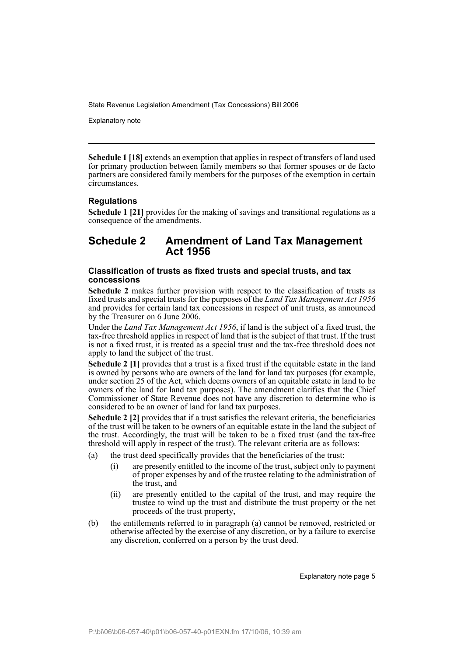Explanatory note

**Schedule 1 [18]** extends an exemption that applies in respect of transfers of land used for primary production between family members so that former spouses or de facto partners are considered family members for the purposes of the exemption in certain circumstances.

## **Regulations**

**Schedule 1 [21]** provides for the making of savings and transitional regulations as a consequence of the amendments.

## **Schedule 2 Amendment of Land Tax Management Act 1956**

## **Classification of trusts as fixed trusts and special trusts, and tax concessions**

**Schedule 2** makes further provision with respect to the classification of trusts as fixed trusts and special trusts for the purposes of the *Land Tax Management Act 1956* and provides for certain land tax concessions in respect of unit trusts, as announced by the Treasurer on 6 June 2006.

Under the *Land Tax Management Act 1956*, if land is the subject of a fixed trust, the tax-free threshold applies in respect of land that is the subject of that trust. If the trust is not a fixed trust, it is treated as a special trust and the tax-free threshold does not apply to land the subject of the trust.

**Schedule 2 [1]** provides that a trust is a fixed trust if the equitable estate in the land is owned by persons who are owners of the land for land tax purposes (for example, under section 25 of the Act, which deems owners of an equitable estate in land to be owners of the land for land tax purposes). The amendment clarifies that the Chief Commissioner of State Revenue does not have any discretion to determine who is considered to be an owner of land for land tax purposes.

**Schedule 2 [2]** provides that if a trust satisfies the relevant criteria, the beneficiaries of the trust will be taken to be owners of an equitable estate in the land the subject of the trust. Accordingly, the trust will be taken to be a fixed trust (and the tax-free threshold will apply in respect of the trust). The relevant criteria are as follows:

- (a) the trust deed specifically provides that the beneficiaries of the trust:
	- (i) are presently entitled to the income of the trust, subject only to payment of proper expenses by and of the trustee relating to the administration of the trust, and
	- (ii) are presently entitled to the capital of the trust, and may require the trustee to wind up the trust and distribute the trust property or the net proceeds of the trust property,
- (b) the entitlements referred to in paragraph (a) cannot be removed, restricted or otherwise affected by the exercise of any discretion, or by a failure to exercise any discretion, conferred on a person by the trust deed.

Explanatory note page 5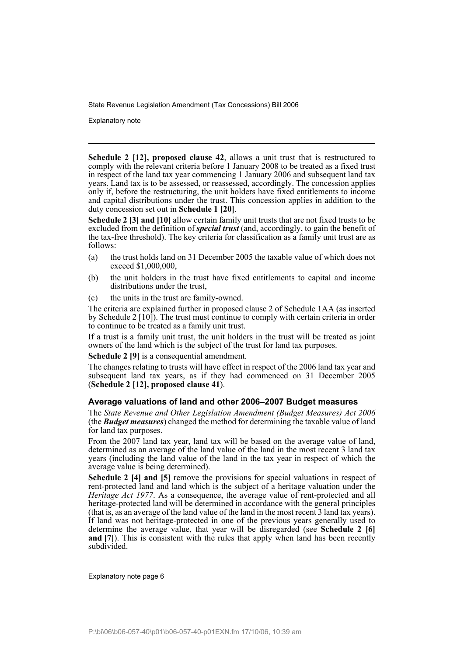Explanatory note

**Schedule 2 [12], proposed clause 42**, allows a unit trust that is restructured to comply with the relevant criteria before 1 January 2008 to be treated as a fixed trust in respect of the land tax year commencing 1 January 2006 and subsequent land tax years. Land tax is to be assessed, or reassessed, accordingly. The concession applies only if, before the restructuring, the unit holders have fixed entitlements to income and capital distributions under the trust. This concession applies in addition to the duty concession set out in **Schedule 1 [20]**.

**Schedule 2 [3] and [10]** allow certain family unit trusts that are not fixed trusts to be excluded from the definition of *special trust* (and, accordingly, to gain the benefit of the tax-free threshold). The key criteria for classification as a family unit trust are as follows:

- (a) the trust holds land on 31 December 2005 the taxable value of which does not exceed \$1,000,000,
- (b) the unit holders in the trust have fixed entitlements to capital and income distributions under the trust,
- (c) the units in the trust are family-owned.

The criteria are explained further in proposed clause 2 of Schedule 1AA (as inserted by Schedule 2 [10]). The trust must continue to comply with certain criteria in order to continue to be treated as a family unit trust.

If a trust is a family unit trust, the unit holders in the trust will be treated as joint owners of the land which is the subject of the trust for land tax purposes.

**Schedule 2 [9]** is a consequential amendment.

The changes relating to trusts will have effect in respect of the 2006 land tax year and subsequent land tax years, as if they had commenced on 31 December 2005 (**Schedule 2 [12], proposed clause 41**).

## **Average valuations of land and other 2006–2007 Budget measures**

The *State Revenue and Other Legislation Amendment (Budget Measures) Act 2006* (the *Budget measures*) changed the method for determining the taxable value of land for land tax purposes.

From the 2007 land tax year, land tax will be based on the average value of land, determined as an average of the land value of the land in the most recent 3 land tax years (including the land value of the land in the tax year in respect of which the average value is being determined).

**Schedule 2 [4] and [5]** remove the provisions for special valuations in respect of rent-protected land and land which is the subject of a heritage valuation under the *Heritage Act 1977*. As a consequence, the average value of rent-protected and all heritage-protected land will be determined in accordance with the general principles (that is, as an average of the land value of the land in the most recent 3 land tax years). If land was not heritage-protected in one of the previous years generally used to determine the average value, that year will be disregarded (see **Schedule 2 [6] and [7]**). This is consistent with the rules that apply when land has been recently subdivided.

Explanatory note page 6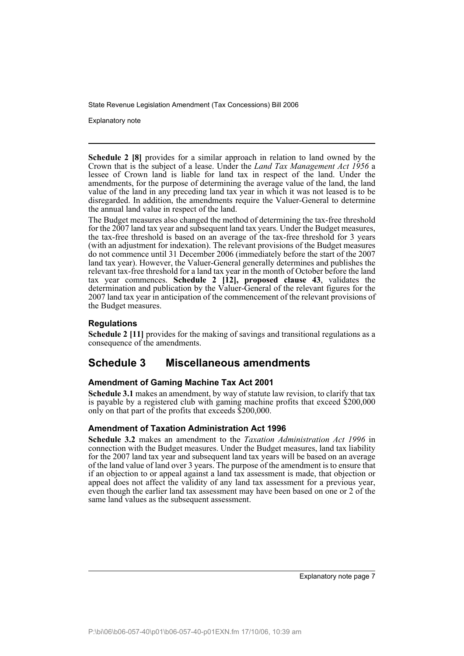Explanatory note

**Schedule 2 [8]** provides for a similar approach in relation to land owned by the Crown that is the subject of a lease. Under the *Land Tax Management Act 1956* a lessee of Crown land is liable for land tax in respect of the land. Under the amendments, for the purpose of determining the average value of the land, the land value of the land in any preceding land tax year in which it was not leased is to be disregarded. In addition, the amendments require the Valuer-General to determine the annual land value in respect of the land.

The Budget measures also changed the method of determining the tax-free threshold for the 2007 land tax year and subsequent land tax years. Under the Budget measures, the tax-free threshold is based on an average of the tax-free threshold for 3 years (with an adjustment for indexation). The relevant provisions of the Budget measures do not commence until 31 December 2006 (immediately before the start of the 2007 land tax year). However, the Valuer-General generally determines and publishes the relevant tax-free threshold for a land tax year in the month of October before the land tax year commences. **Schedule 2 [12], proposed clause 43**, validates the determination and publication by the Valuer-General of the relevant figures for the 2007 land tax year in anticipation of the commencement of the relevant provisions of the Budget measures.

## **Regulations**

**Schedule 2** [11] provides for the making of savings and transitional regulations as a consequence of the amendments.

## **Schedule 3 Miscellaneous amendments**

## **Amendment of Gaming Machine Tax Act 2001**

**Schedule 3.1** makes an amendment, by way of statute law revision, to clarify that tax is payable by a registered club with gaming machine profits that exceed \$200,000 only on that part of the profits that exceeds \$200,000.

## **Amendment of Taxation Administration Act 1996**

**Schedule 3.2** makes an amendment to the *Taxation Administration Act 1996* in connection with the Budget measures. Under the Budget measures, land tax liability for the 2007 land tax year and subsequent land tax years will be based on an average of the land value of land over 3 years. The purpose of the amendment is to ensure that if an objection to or appeal against a land tax assessment is made, that objection or appeal does not affect the validity of any land tax assessment for a previous year, even though the earlier land tax assessment may have been based on one or 2 of the same land values as the subsequent assessment.

Explanatory note page 7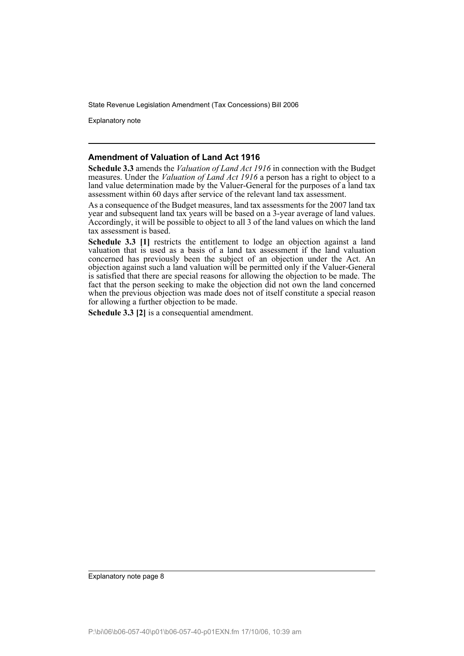Explanatory note

### **Amendment of Valuation of Land Act 1916**

**Schedule 3.3** amends the *Valuation of Land Act 1916* in connection with the Budget measures. Under the *Valuation of Land Act 1916* a person has a right to object to a land value determination made by the Valuer-General for the purposes of a land tax assessment within 60 days after service of the relevant land tax assessment.

As a consequence of the Budget measures, land tax assessments for the 2007 land tax year and subsequent land tax years will be based on a 3-year average of land values. Accordingly, it will be possible to object to all 3 of the land values on which the land tax assessment is based.

**Schedule 3.3 [1]** restricts the entitlement to lodge an objection against a land valuation that is used as a basis of a land tax assessment if the land valuation concerned has previously been the subject of an objection under the Act. An objection against such a land valuation will be permitted only if the Valuer-General is satisfied that there are special reasons for allowing the objection to be made. The fact that the person seeking to make the objection did not own the land concerned when the previous objection was made does not of itself constitute a special reason for allowing a further objection to be made.

**Schedule 3.3 [2]** is a consequential amendment.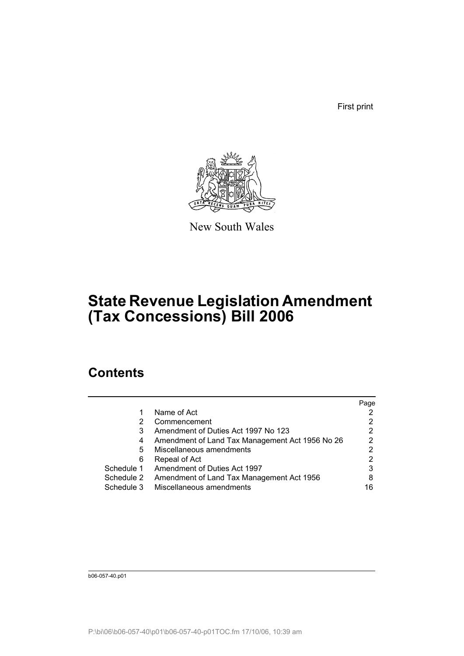First print



New South Wales

# **State Revenue Legislation Amendment (Tax Concessions) Bill 2006**

## **Contents**

|            |                                                 | Page |
|------------|-------------------------------------------------|------|
|            | Name of Act                                     |      |
| 2          | Commencement                                    |      |
| 3          | Amendment of Duties Act 1997 No 123             | 2    |
| 4          | Amendment of Land Tax Management Act 1956 No 26 | 2    |
| 5          | Miscellaneous amendments                        | 2    |
| 6          | Repeal of Act                                   |      |
| Schedule 1 | Amendment of Duties Act 1997                    | 3    |
| Schedule 2 | Amendment of Land Tax Management Act 1956       | 8    |
| Schedule 3 | Miscellaneous amendments                        | 16   |
|            |                                                 |      |

b06-057-40.p01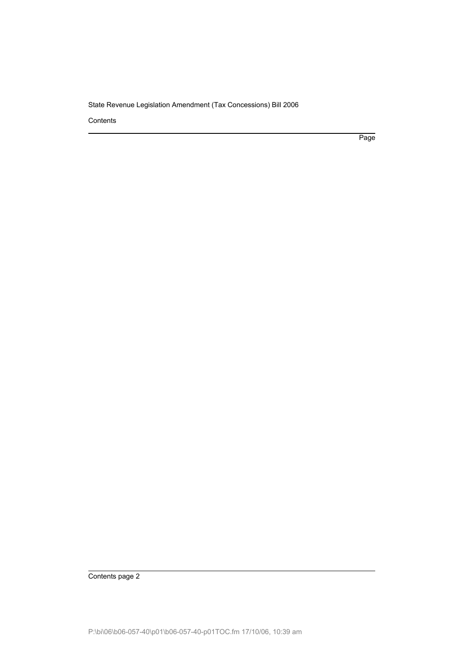Contents

Page

Contents page 2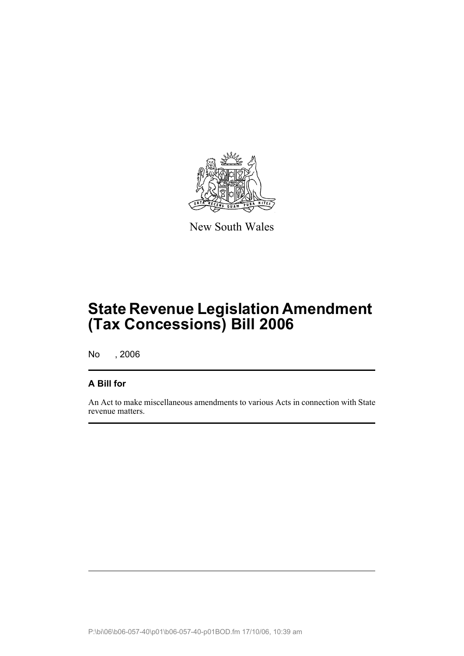

New South Wales

# **State Revenue Legislation Amendment (Tax Concessions) Bill 2006**

No , 2006

## **A Bill for**

An Act to make miscellaneous amendments to various Acts in connection with State revenue matters.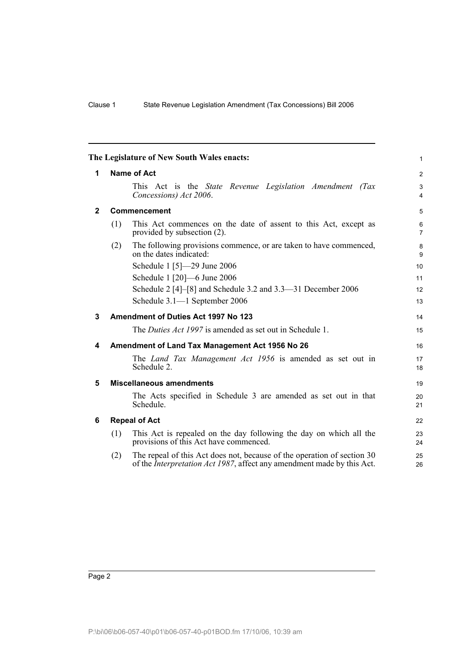<span id="page-11-5"></span><span id="page-11-4"></span><span id="page-11-3"></span><span id="page-11-2"></span><span id="page-11-1"></span><span id="page-11-0"></span>

|              |                    | The Legislature of New South Wales enacts:                                                                                                                | 1                   |  |  |
|--------------|--------------------|-----------------------------------------------------------------------------------------------------------------------------------------------------------|---------------------|--|--|
| 1.           | <b>Name of Act</b> |                                                                                                                                                           |                     |  |  |
|              |                    | This Act is the <i>State Revenue Legislation Amendment (Tax</i><br>Concessions) Act 2006.                                                                 | 3<br>$\overline{4}$ |  |  |
| $\mathbf{2}$ |                    | Commencement                                                                                                                                              | 5                   |  |  |
|              | (1)                | This Act commences on the date of assent to this Act, except as<br>provided by subsection (2).                                                            | 6<br>$\overline{7}$ |  |  |
|              | (2)                | The following provisions commence, or are taken to have commenced,<br>on the dates indicated:                                                             | 8<br>9              |  |  |
|              |                    | Schedule 1 [5]-29 June 2006                                                                                                                               | 10                  |  |  |
|              |                    | Schedule 1 [20] -6 June 2006                                                                                                                              | 11                  |  |  |
|              |                    | Schedule 2 [4]–[8] and Schedule 3.2 and 3.3–31 December 2006                                                                                              | 12                  |  |  |
|              |                    | Schedule 3.1-1 September 2006                                                                                                                             | 13                  |  |  |
| 3            |                    | Amendment of Duties Act 1997 No 123                                                                                                                       | 14                  |  |  |
|              |                    | The <i>Duties Act 1997</i> is amended as set out in Schedule 1.                                                                                           | 15                  |  |  |
| 4            |                    | Amendment of Land Tax Management Act 1956 No 26                                                                                                           | 16                  |  |  |
|              |                    | The <i>Land Tax Management Act 1956</i> is amended as set out in<br>Schedule 2.                                                                           | 17<br>18            |  |  |
| 5            |                    | <b>Miscellaneous amendments</b>                                                                                                                           | 19                  |  |  |
|              |                    | The Acts specified in Schedule 3 are amended as set out in that<br>Schedule.                                                                              | 20<br>21            |  |  |
| 6            |                    | <b>Repeal of Act</b>                                                                                                                                      | 22                  |  |  |
|              | (1)                | This Act is repealed on the day following the day on which all the<br>provisions of this Act have commenced.                                              | 23<br>24            |  |  |
|              | (2)                | The repeal of this Act does not, because of the operation of section 30<br>of the <i>Interpretation Act 1987</i> , affect any amendment made by this Act. | 25<br>26            |  |  |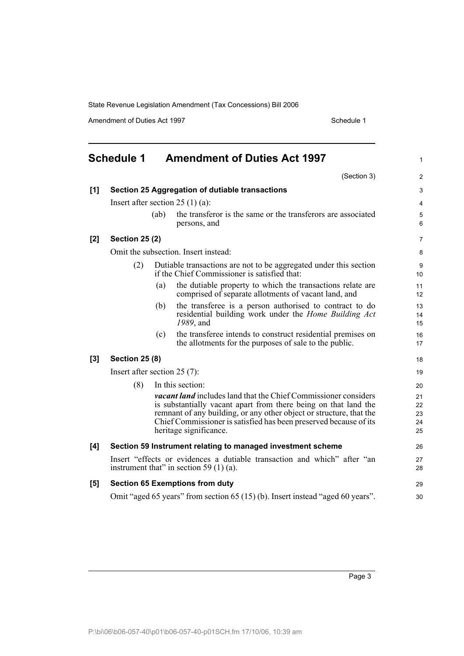Amendment of Duties Act 1997 Schedule 1

<span id="page-12-0"></span>

|       | <b>Schedule 1</b>              |      | <b>Amendment of Duties Act 1997</b>                                                                                                                                                                                                                                                                             | 1                          |
|-------|--------------------------------|------|-----------------------------------------------------------------------------------------------------------------------------------------------------------------------------------------------------------------------------------------------------------------------------------------------------------------|----------------------------|
|       |                                |      | (Section 3)                                                                                                                                                                                                                                                                                                     | $\overline{c}$             |
| [1]   |                                |      | Section 25 Aggregation of dutiable transactions                                                                                                                                                                                                                                                                 | 3                          |
|       |                                |      | Insert after section $25(1)(a)$ :                                                                                                                                                                                                                                                                               | 4                          |
|       |                                | (ab) | the transferor is the same or the transferors are associated<br>persons, and                                                                                                                                                                                                                                    | 5<br>6                     |
| $[2]$ | <b>Section 25 (2)</b>          |      |                                                                                                                                                                                                                                                                                                                 | $\overline{7}$             |
|       |                                |      | Omit the subsection. Insert instead:                                                                                                                                                                                                                                                                            | 8                          |
|       | (2)                            |      | Dutiable transactions are not to be aggregated under this section<br>if the Chief Commissioner is satisfied that:                                                                                                                                                                                               | 9<br>10                    |
|       |                                | (a)  | the dutiable property to which the transactions relate are<br>comprised of separate allotments of vacant land, and                                                                                                                                                                                              | 11<br>12                   |
|       |                                | (b)  | the transferee is a person authorised to contract to do<br>residential building work under the Home Building Act<br>1989, and                                                                                                                                                                                   | 13<br>14<br>15             |
|       |                                | (c)  | the transferee intends to construct residential premises on<br>the allotments for the purposes of sale to the public.                                                                                                                                                                                           | 16<br>17                   |
| $[3]$ | <b>Section 25 (8)</b>          |      |                                                                                                                                                                                                                                                                                                                 | 18                         |
|       | Insert after section $25(7)$ : |      |                                                                                                                                                                                                                                                                                                                 | 19                         |
|       | (8)                            |      | In this section:                                                                                                                                                                                                                                                                                                | 20                         |
|       |                                |      | <b>vacant land</b> includes land that the Chief Commissioner considers<br>is substantially vacant apart from there being on that land the<br>remnant of any building, or any other object or structure, that the<br>Chief Commissioner is satisfied has been preserved because of its<br>heritage significance. | 21<br>22<br>23<br>24<br>25 |
| [4]   |                                |      | Section 59 Instrument relating to managed investment scheme                                                                                                                                                                                                                                                     | 26                         |
|       |                                |      | Insert "effects or evidences a dutiable transaction and which" after "an<br>instrument that" in section 59 $(1)$ (a).                                                                                                                                                                                           | 27<br>28                   |
| [5]   |                                |      | <b>Section 65 Exemptions from duty</b>                                                                                                                                                                                                                                                                          | 29                         |
|       |                                |      | Omit "aged 65 years" from section 65 (15) (b). Insert instead "aged 60 years".                                                                                                                                                                                                                                  | 30                         |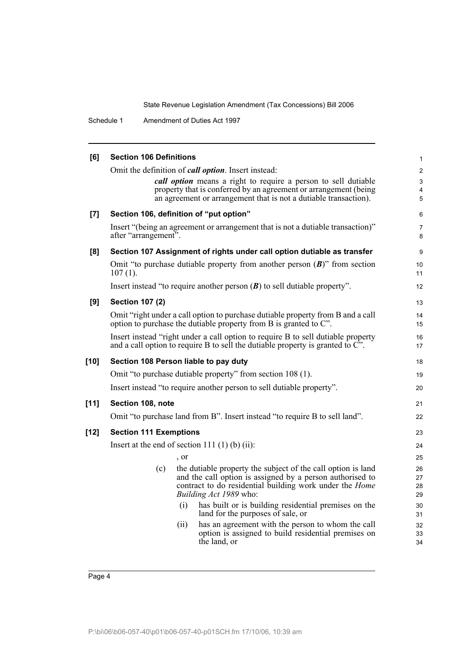Schedule 1 Amendment of Duties Act 1997

| [6]    | <b>Section 106 Definitions</b>                                              |                                                                                                                                                                                                        | $\mathbf{1}$                          |
|--------|-----------------------------------------------------------------------------|--------------------------------------------------------------------------------------------------------------------------------------------------------------------------------------------------------|---------------------------------------|
|        | Omit the definition of <i>call option</i> . Insert instead:                 | call option means a right to require a person to sell dutiable<br>property that is conferred by an agreement or arrangement (being<br>an agreement or arrangement that is not a dutiable transaction). | $\mathbf{2}$<br>$\mathsf 3$<br>4<br>5 |
| $[7]$  | Section 106, definition of "put option"                                     |                                                                                                                                                                                                        | 6                                     |
|        | after "arrangement".                                                        | Insert "(being an agreement or arrangement that is not a dutiable transaction)"                                                                                                                        | 7<br>8                                |
| [8]    |                                                                             | Section 107 Assignment of rights under call option dutiable as transfer                                                                                                                                | 9                                     |
|        | $107(1)$ .                                                                  | Omit "to purchase dutiable property from another person $(B)$ " from section                                                                                                                           | 10<br>11                              |
|        | Insert instead "to require another person $(B)$ to sell dutiable property". |                                                                                                                                                                                                        | 12                                    |
| [9]    | <b>Section 107 (2)</b>                                                      |                                                                                                                                                                                                        | 13                                    |
|        | option to purchase the dutiable property from B is granted to C".           | Omit "right under a call option to purchase dutiable property from B and a call                                                                                                                        | 14<br>15                              |
|        |                                                                             | Insert instead "right under a call option to require B to sell dutiable property<br>and a call option to require B to sell the dutiable property is granted to $\overline{C}$ .                        | 16<br>17                              |
| $[10]$ | Section 108 Person liable to pay duty                                       |                                                                                                                                                                                                        | 18                                    |
|        | Omit "to purchase dutiable property" from section 108 (1).                  |                                                                                                                                                                                                        | 19                                    |
|        | Insert instead "to require another person to sell dutiable property".       |                                                                                                                                                                                                        | 20                                    |
| $[11]$ | Section 108, note                                                           |                                                                                                                                                                                                        | 21                                    |
|        |                                                                             | Omit "to purchase land from B". Insert instead "to require B to sell land".                                                                                                                            | 22                                    |
| $[12]$ | <b>Section 111 Exemptions</b>                                               |                                                                                                                                                                                                        | 23                                    |
|        | Insert at the end of section 111 $(1)$ (b) $(ii)$ :                         |                                                                                                                                                                                                        | 24                                    |
|        | , or                                                                        |                                                                                                                                                                                                        | 25                                    |
|        | (c)<br>Building Act 1989 who:                                               | the dutiable property the subject of the call option is land<br>and the call option is assigned by a person authorised to<br>contract to do residential building work under the <i>Home</i>            | 26<br>27<br>28<br>29                  |
|        | (i)                                                                         | has built or is building residential premises on the<br>land for the purposes of sale, or                                                                                                              | 30<br>31                              |
|        | (ii)<br>the land, or                                                        | has an agreement with the person to whom the call<br>option is assigned to build residential premises on                                                                                               | 32<br>33<br>34                        |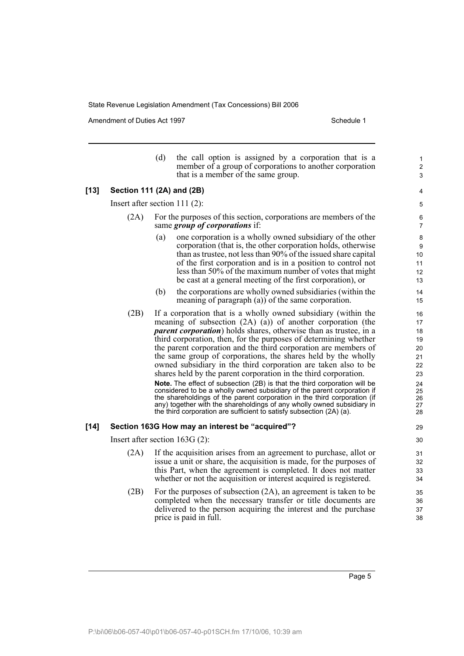Amendment of Duties Act 1997 Schedule 1

[13]

|        |                                  | (d) | the call option is assigned by a corporation that is a<br>member of a group of corporations to another corporation<br>that is a member of the same group.                                                                                                                                                                                                                                                                                                                                                                                                                                                                                                                                                                                                                                                                                                                                                                                          | 1<br>$\overline{c}$<br>$\mathfrak{S}$                                      |
|--------|----------------------------------|-----|----------------------------------------------------------------------------------------------------------------------------------------------------------------------------------------------------------------------------------------------------------------------------------------------------------------------------------------------------------------------------------------------------------------------------------------------------------------------------------------------------------------------------------------------------------------------------------------------------------------------------------------------------------------------------------------------------------------------------------------------------------------------------------------------------------------------------------------------------------------------------------------------------------------------------------------------------|----------------------------------------------------------------------------|
| $[13]$ | Section 111 (2A) and (2B)        |     |                                                                                                                                                                                                                                                                                                                                                                                                                                                                                                                                                                                                                                                                                                                                                                                                                                                                                                                                                    | 4                                                                          |
|        | Insert after section $111(2)$ :  |     |                                                                                                                                                                                                                                                                                                                                                                                                                                                                                                                                                                                                                                                                                                                                                                                                                                                                                                                                                    | 5                                                                          |
|        | (2A)                             |     | For the purposes of this section, corporations are members of the<br>same <i>group of corporations</i> if:                                                                                                                                                                                                                                                                                                                                                                                                                                                                                                                                                                                                                                                                                                                                                                                                                                         | 6<br>$\overline{7}$                                                        |
|        |                                  | (a) | one corporation is a wholly owned subsidiary of the other<br>corporation (that is, the other corporation holds, otherwise<br>than as trustee, not less than 90% of the issued share capital<br>of the first corporation and is in a position to control not<br>less than 50% of the maximum number of votes that might<br>be cast at a general meeting of the first corporation), or                                                                                                                                                                                                                                                                                                                                                                                                                                                                                                                                                               | 8<br>9<br>10<br>11<br>12<br>13                                             |
|        |                                  | (b) | the corporations are wholly owned subsidiaries (within the<br>meaning of paragraph $(a)$ ) of the same corporation.                                                                                                                                                                                                                                                                                                                                                                                                                                                                                                                                                                                                                                                                                                                                                                                                                                | 14<br>15                                                                   |
|        | (2B)                             |     | If a corporation that is a wholly owned subsidiary (within the<br>meaning of subsection $(2A)$ $(a)$ ) of another corporation (the<br><i>parent corporation</i> ) holds shares, otherwise than as trustee, in a<br>third corporation, then, for the purposes of determining whether<br>the parent corporation and the third corporation are members of<br>the same group of corporations, the shares held by the wholly<br>owned subsidiary in the third corporation are taken also to be<br>shares held by the parent corporation in the third corporation.<br>Note. The effect of subsection (2B) is that the third corporation will be<br>considered to be a wholly owned subsidiary of the parent corporation if<br>the shareholdings of the parent corporation in the third corporation (if<br>any) together with the shareholdings of any wholly owned subsidiary in<br>the third corporation are sufficient to satisfy subsection (2A) (a). | 16<br>17<br>18<br>19<br>20<br>21<br>22<br>23<br>24<br>25<br>26<br>27<br>28 |
| [14]   |                                  |     | Section 163G How may an interest be "acquired"?                                                                                                                                                                                                                                                                                                                                                                                                                                                                                                                                                                                                                                                                                                                                                                                                                                                                                                    | 29                                                                         |
|        | Insert after section $163G(2)$ : |     |                                                                                                                                                                                                                                                                                                                                                                                                                                                                                                                                                                                                                                                                                                                                                                                                                                                                                                                                                    | 30                                                                         |
|        | (2A)                             |     | If the acquisition arises from an agreement to purchase, allot or<br>issue a unit or share, the acquisition is made, for the purposes of<br>this Part, when the agreement is completed. It does not matter<br>whether or not the acquisition or interest acquired is registered.                                                                                                                                                                                                                                                                                                                                                                                                                                                                                                                                                                                                                                                                   | 31<br>32<br>33<br>34                                                       |
|        | (2B)                             |     | For the purposes of subsection $(2A)$ , an agreement is taken to be<br>completed when the necessary transfer or title documents are<br>delivered to the person acquiring the interest and the purchase<br>price is paid in full.                                                                                                                                                                                                                                                                                                                                                                                                                                                                                                                                                                                                                                                                                                                   | 35<br>36<br>37<br>38                                                       |

Page 5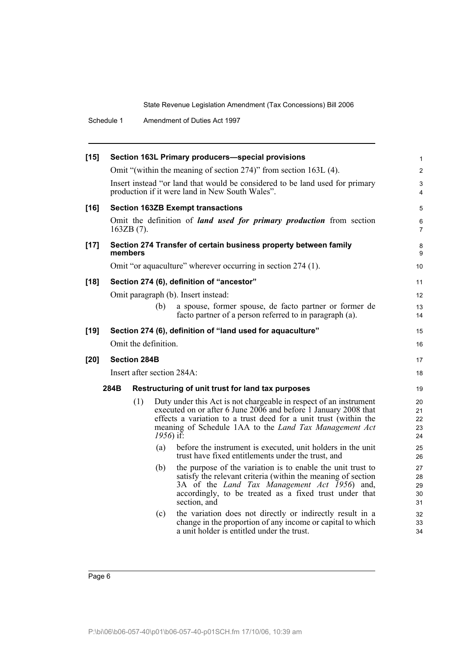|        | Schedule 1 |                     |                                   | Amendment of Duties Act 1997                                                                                                                                                                                                                                                                                                                                                                                                                                                                                                                                                                                                                                                                                                                                                                                                                                                                  |                                                                                              |
|--------|------------|---------------------|-----------------------------------|-----------------------------------------------------------------------------------------------------------------------------------------------------------------------------------------------------------------------------------------------------------------------------------------------------------------------------------------------------------------------------------------------------------------------------------------------------------------------------------------------------------------------------------------------------------------------------------------------------------------------------------------------------------------------------------------------------------------------------------------------------------------------------------------------------------------------------------------------------------------------------------------------|----------------------------------------------------------------------------------------------|
| $[15]$ |            |                     |                                   | Section 163L Primary producers-special provisions<br>Omit "(within the meaning of section 274)" from section 163L (4).<br>Insert instead "or land that would be considered to be land used for primary<br>production if it were land in New South Wales".                                                                                                                                                                                                                                                                                                                                                                                                                                                                                                                                                                                                                                     | $\mathbf{1}$<br>$\overline{2}$<br>3<br>4                                                     |
| $[16]$ |            | $163ZB(7)$ .        |                                   | <b>Section 163ZB Exempt transactions</b><br>Omit the definition of <i>land used for primary production</i> from section                                                                                                                                                                                                                                                                                                                                                                                                                                                                                                                                                                                                                                                                                                                                                                       | 5<br>6<br>$\overline{7}$                                                                     |
| $[17]$ |            | members             |                                   | Section 274 Transfer of certain business property between family<br>Omit "or aquaculture" wherever occurring in section 274 (1).                                                                                                                                                                                                                                                                                                                                                                                                                                                                                                                                                                                                                                                                                                                                                              | 8<br>9<br>10                                                                                 |
| $[18]$ |            |                     | (b)                               | Section 274 (6), definition of "ancestor"<br>Omit paragraph (b). Insert instead:<br>a spouse, former spouse, de facto partner or former de<br>facto partner of a person referred to in paragraph (a).                                                                                                                                                                                                                                                                                                                                                                                                                                                                                                                                                                                                                                                                                         | 11<br>12<br>13<br>14                                                                         |
| $[19]$ |            |                     | Omit the definition.              | Section 274 (6), definition of "land used for aquaculture"                                                                                                                                                                                                                                                                                                                                                                                                                                                                                                                                                                                                                                                                                                                                                                                                                                    | 15<br>16                                                                                     |
| $[20]$ |            | <b>Section 284B</b> |                                   | Insert after section 284A:                                                                                                                                                                                                                                                                                                                                                                                                                                                                                                                                                                                                                                                                                                                                                                                                                                                                    | 17<br>18                                                                                     |
|        | 284B       | (1)                 | $1956$ ) if:<br>(a)<br>(b)<br>(c) | Restructuring of unit trust for land tax purposes<br>Duty under this Act is not chargeable in respect of an instrument<br>executed on or after 6 June 2006 and before 1 January 2008 that<br>effects a variation to a trust deed for a unit trust (within the<br>meaning of Schedule 1AA to the <i>Land Tax Management Act</i><br>before the instrument is executed, unit holders in the unit<br>trust have fixed entitlements under the trust, and<br>the purpose of the variation is to enable the unit trust to<br>satisfy the relevant criteria (within the meaning of section<br>3A of the <i>Land Tax Management Act 1956</i> ) and,<br>accordingly, to be treated as a fixed trust under that<br>section, and<br>the variation does not directly or indirectly result in a<br>change in the proportion of any income or capital to which<br>a unit holder is entitled under the trust. | 19<br>20<br>21<br>22<br>23<br>24<br>25<br>26<br>27<br>28<br>29<br>30<br>31<br>32<br>33<br>34 |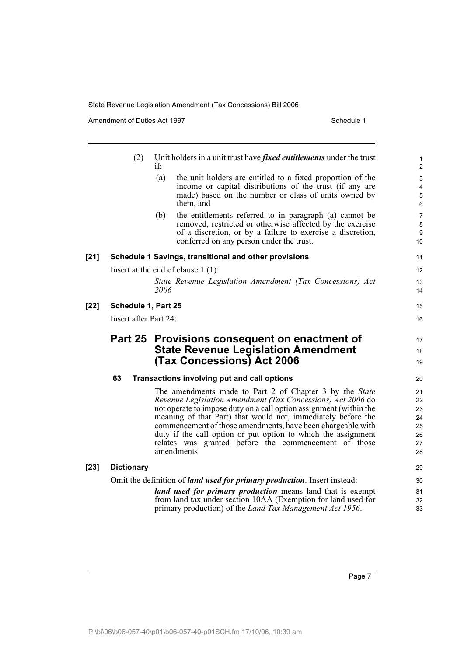Amendment of Duties Act 1997 **Schedule 1** Schedule 1

|        | (2)                   | Unit holders in a unit trust have <i>fixed entitlements</i> under the trust<br>if                                           | 1<br>$\overline{2}$ |
|--------|-----------------------|-----------------------------------------------------------------------------------------------------------------------------|---------------------|
|        |                       | (a)<br>the unit holders are entitled to a fixed proportion of the                                                           | $\mathfrak{S}$      |
|        |                       | income or capital distributions of the trust (if any are                                                                    | 4                   |
|        |                       | made) based on the number or class of units owned by                                                                        | $\sqrt{5}$          |
|        |                       | them, and                                                                                                                   | $\,6\,$             |
|        |                       | (b)<br>the entitlements referred to in paragraph (a) cannot be                                                              | $\overline{7}$      |
|        |                       | removed, restricted or otherwise affected by the exercise                                                                   | 8                   |
|        |                       | of a discretion, or by a failure to exercise a discretion,                                                                  | 9                   |
|        |                       | conferred on any person under the trust.                                                                                    | 10                  |
| $[21]$ |                       | Schedule 1 Savings, transitional and other provisions                                                                       | 11                  |
|        |                       | Insert at the end of clause $1(1)$ :                                                                                        | 12                  |
|        |                       | State Revenue Legislation Amendment (Tax Concessions) Act                                                                   | 13                  |
|        |                       | 2006                                                                                                                        | 14                  |
| [22]   | Schedule 1, Part 25   |                                                                                                                             | 15                  |
|        | Insert after Part 24: |                                                                                                                             | 16                  |
|        |                       |                                                                                                                             |                     |
|        |                       |                                                                                                                             |                     |
|        |                       | Part 25 Provisions consequent on enactment of                                                                               | 17                  |
|        |                       | <b>State Revenue Legislation Amendment</b>                                                                                  | 18                  |
|        |                       | <b>(Tax Concessions) Act 2006</b>                                                                                           | 19                  |
|        | 63                    | Transactions involving put and call options                                                                                 | 20                  |
|        |                       | The amendments made to Part 2 of Chapter 3 by the State                                                                     | 21                  |
|        |                       | Revenue Legislation Amendment (Tax Concessions) Act 2006 do                                                                 | 22                  |
|        |                       | not operate to impose duty on a call option assignment (within the                                                          | 23                  |
|        |                       | meaning of that Part) that would not, immediately before the                                                                | 24                  |
|        |                       | commencement of those amendments, have been chargeable with                                                                 | 25                  |
|        |                       | duty if the call option or put option to which the assignment                                                               | 26                  |
|        |                       | relates was granted before the commencement of those                                                                        |                     |
|        |                       | amendments.                                                                                                                 | 27<br>28            |
|        | <b>Dictionary</b>     |                                                                                                                             | 29                  |
|        |                       | Omit the definition of <i>land used for primary production</i> . Insert instead:                                            | 30                  |
| [23]   |                       |                                                                                                                             | 31                  |
|        |                       | land used for primary production means land that is exempt<br>from land tax under section 10AA (Exemption for land used for | 32                  |
|        |                       | primary production) of the <i>Land Tax Management Act 1956</i> .                                                            | 33                  |

Page 7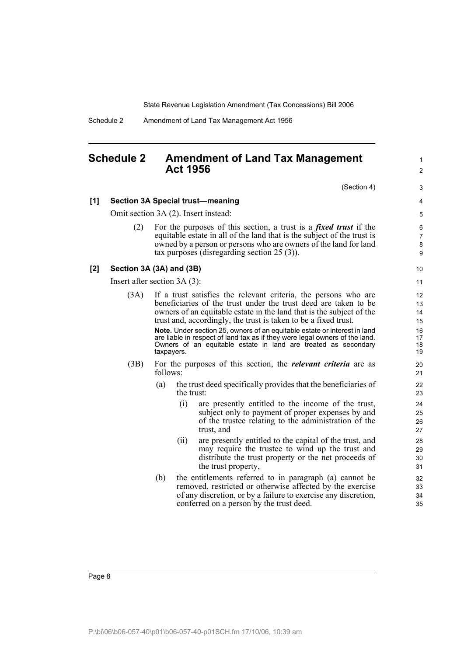Schedule 2 Amendment of Land Tax Management Act 1956

## <span id="page-17-0"></span>**Schedule 2 Amendment of Land Tax Management Act 1956**

1  $\mathfrak{p}$ 

**[1] Section 3A Special trust—meaning**

Omit section 3A (2). Insert instead:

(2) For the purposes of this section, a trust is a *fixed trust* if the equitable estate in all of the land that is the subject of the trust is owned by a person or persons who are owners of the land for land tax purposes (disregarding section 25 (3)).

#### **[2] Section 3A (3A) and (3B)**

Insert after section 3A (3):

- (3A) If a trust satisfies the relevant criteria, the persons who are beneficiaries of the trust under the trust deed are taken to be owners of an equitable estate in the land that is the subject of the trust and, accordingly, the trust is taken to be a fixed trust. **Note.** Under section 25, owners of an equitable estate or interest in land are liable in respect of land tax as if they were legal owners of the land. Owners of an equitable estate in land are treated as secondary taxpayers. (3B) For the purposes of this section, the *relevant criteria* are as follows: (a) the trust deed specifically provides that the beneficiaries of the trust: (i) are presently entitled to the income of the trust, subject only to payment of proper expenses by and of the trustee relating to the administration of the trust, and (ii) are presently entitled to the capital of the trust, and
	- may require the trustee to wind up the trust and distribute the trust property or the net proceeds of the trust property,
	- (b) the entitlements referred to in paragraph (a) cannot be removed, restricted or otherwise affected by the exercise of any discretion, or by a failure to exercise any discretion, conferred on a person by the trust deed.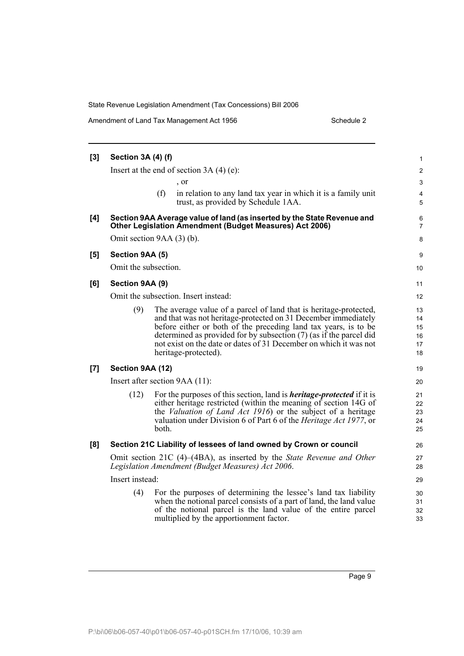Amendment of Land Tax Management Act 1956 Schedule 2

| [3] | <b>Section 3A (4) (f)</b> |                                                                                                                                                                                                                                                                                                                                                                           | 1                                |
|-----|---------------------------|---------------------------------------------------------------------------------------------------------------------------------------------------------------------------------------------------------------------------------------------------------------------------------------------------------------------------------------------------------------------------|----------------------------------|
|     |                           | Insert at the end of section $3A(4)(e)$ :                                                                                                                                                                                                                                                                                                                                 | $\overline{\mathbf{c}}$          |
|     |                           | , or                                                                                                                                                                                                                                                                                                                                                                      | 3                                |
|     |                           | (f)<br>in relation to any land tax year in which it is a family unit<br>trust, as provided by Schedule 1AA.                                                                                                                                                                                                                                                               | 4<br>5                           |
| [4] |                           | Section 9AA Average value of land (as inserted by the State Revenue and<br><b>Other Legislation Amendment (Budget Measures) Act 2006)</b>                                                                                                                                                                                                                                 | 6<br>$\overline{7}$              |
|     |                           | Omit section 9AA (3) (b).                                                                                                                                                                                                                                                                                                                                                 | 8                                |
| [5] | Section 9AA (5)           |                                                                                                                                                                                                                                                                                                                                                                           | 9                                |
|     | Omit the subsection.      |                                                                                                                                                                                                                                                                                                                                                                           | 10                               |
| [6] | Section 9AA (9)           |                                                                                                                                                                                                                                                                                                                                                                           | 11                               |
|     |                           | Omit the subsection. Insert instead:                                                                                                                                                                                                                                                                                                                                      | 12                               |
|     | (9)                       | The average value of a parcel of land that is heritage-protected,<br>and that was not heritage-protected on 31 December immediately<br>before either or both of the preceding land tax years, is to be<br>determined as provided for by subsection (7) (as if the parcel did<br>not exist on the date or dates of 31 December on which it was not<br>heritage-protected). | 13<br>14<br>15<br>16<br>17<br>18 |
| [7] | Section 9AA (12)          |                                                                                                                                                                                                                                                                                                                                                                           | 19                               |
|     |                           | Insert after section 9AA (11):                                                                                                                                                                                                                                                                                                                                            | 20                               |
|     | (12)                      | For the purposes of this section, land is <i>heritage-protected</i> if it is<br>either heritage restricted (within the meaning of section 14G of<br>the Valuation of Land Act 1916) or the subject of a heritage<br>valuation under Division 6 of Part 6 of the <i>Heritage Act 1977</i> , or<br>both.                                                                    | 21<br>22<br>23<br>24<br>25       |
| [8] |                           | Section 21C Liability of lessees of land owned by Crown or council                                                                                                                                                                                                                                                                                                        | 26                               |
|     |                           | Omit section 21C (4)–(4BA), as inserted by the <i>State Revenue and Other</i><br>Legislation Amendment (Budget Measures) Act 2006.                                                                                                                                                                                                                                        | 27<br>28                         |
|     | Insert instead:           |                                                                                                                                                                                                                                                                                                                                                                           | 29                               |
|     | (4)                       | For the purposes of determining the lessee's land tax liability<br>when the notional parcel consists of a part of land, the land value<br>of the notional parcel is the land value of the entire parcel<br>multiplied by the apportionment factor.                                                                                                                        | 30<br>31<br>32<br>33             |

Page 9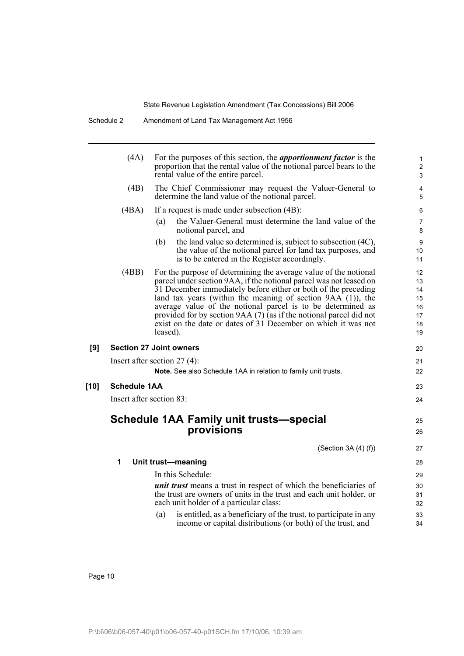|      | (4A)                | For the purposes of this section, the <i>apportionment factor</i> is the<br>proportion that the rental value of the notional parcel bears to the<br>rental value of the entire parcel.                                                                                                                                                                                                                                                                                                      | 1<br>$\overline{c}$<br>3                     |
|------|---------------------|---------------------------------------------------------------------------------------------------------------------------------------------------------------------------------------------------------------------------------------------------------------------------------------------------------------------------------------------------------------------------------------------------------------------------------------------------------------------------------------------|----------------------------------------------|
|      | (4B)                | The Chief Commissioner may request the Valuer-General to<br>determine the land value of the notional parcel.                                                                                                                                                                                                                                                                                                                                                                                | 4<br>5                                       |
|      | (4BA)               | If a request is made under subsection (4B):                                                                                                                                                                                                                                                                                                                                                                                                                                                 | 6                                            |
|      |                     | the Valuer-General must determine the land value of the<br>(a)<br>notional parcel, and                                                                                                                                                                                                                                                                                                                                                                                                      | 7<br>8                                       |
|      |                     | the land value so determined is, subject to subsection (4C),<br>(b)<br>the value of the notional parcel for land tax purposes, and<br>is to be entered in the Register accordingly.                                                                                                                                                                                                                                                                                                         | 9<br>10<br>11                                |
|      | (4BB)               | For the purpose of determining the average value of the notional<br>parcel under section 9AA, if the notional parcel was not leased on<br>31 December immediately before either or both of the preceding<br>land tax years (within the meaning of section $9AA(1)$ ), the<br>average value of the notional parcel is to be determined as<br>provided for by section 9AA (7) (as if the notional parcel did not<br>exist on the date or dates of 31 December on which it was not<br>leased). | 12<br>13<br>14<br>15<br>16<br>17<br>18<br>19 |
| [9]  |                     | <b>Section 27 Joint owners</b>                                                                                                                                                                                                                                                                                                                                                                                                                                                              | 20                                           |
|      |                     | Insert after section $27(4)$ :<br>Note. See also Schedule 1AA in relation to family unit trusts.                                                                                                                                                                                                                                                                                                                                                                                            | 21<br>22                                     |
| [10] | <b>Schedule 1AA</b> |                                                                                                                                                                                                                                                                                                                                                                                                                                                                                             | 23                                           |
|      |                     | Insert after section 83:                                                                                                                                                                                                                                                                                                                                                                                                                                                                    | 24                                           |
|      |                     | <b>Schedule 1AA Family unit trusts-special</b><br>provisions                                                                                                                                                                                                                                                                                                                                                                                                                                | 25<br>26                                     |
|      |                     | (Section 3A $(4)$ $(f)$ )                                                                                                                                                                                                                                                                                                                                                                                                                                                                   | 27                                           |
|      | 1                   | Unit trust-meaning                                                                                                                                                                                                                                                                                                                                                                                                                                                                          | 28                                           |
|      |                     | In this Schedule:                                                                                                                                                                                                                                                                                                                                                                                                                                                                           | 29                                           |
|      |                     | <i>unit trust</i> means a trust in respect of which the beneficiaries of<br>the trust are owners of units in the trust and each unit holder, or<br>each unit holder of a particular class:                                                                                                                                                                                                                                                                                                  | 30<br>31<br>32                               |
|      |                     | is entitled, as a beneficiary of the trust, to participate in any<br>(a)<br>income or capital distributions (or both) of the trust, and                                                                                                                                                                                                                                                                                                                                                     | 33<br>34                                     |
|      |                     |                                                                                                                                                                                                                                                                                                                                                                                                                                                                                             |                                              |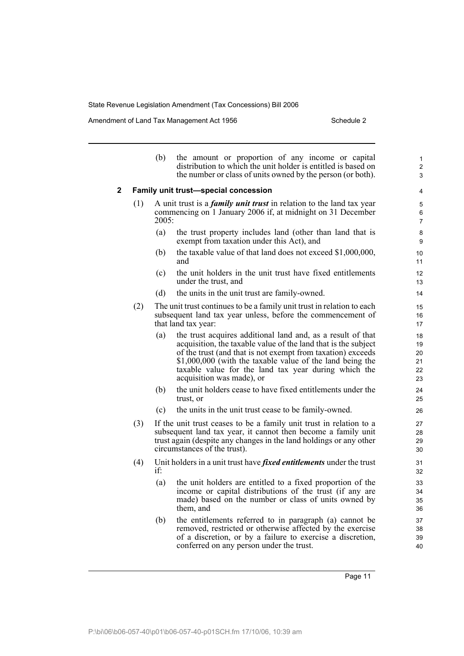Amendment of Land Tax Management Act 1956 Schedule 2

|             |     | (b)   | the amount or proportion of any income or capital<br>distribution to which the unit holder is entitled is based on<br>the number or class of units owned by the person (or both).                                                                                                                                                              | 1<br>$\overline{2}$<br>3         |
|-------------|-----|-------|------------------------------------------------------------------------------------------------------------------------------------------------------------------------------------------------------------------------------------------------------------------------------------------------------------------------------------------------|----------------------------------|
| $\mathbf 2$ |     |       | Family unit trust-special concession                                                                                                                                                                                                                                                                                                           | 4                                |
|             | (1) | 2005: | A unit trust is a <i>family unit trust</i> in relation to the land tax year<br>commencing on 1 January 2006 if, at midnight on 31 December                                                                                                                                                                                                     | 5<br>6<br>$\overline{7}$         |
|             |     | (a)   | the trust property includes land (other than land that is<br>exempt from taxation under this Act), and                                                                                                                                                                                                                                         | 8<br>9                           |
|             |     | (b)   | the taxable value of that land does not exceed \$1,000,000,<br>and                                                                                                                                                                                                                                                                             | 10<br>11                         |
|             |     | (c)   | the unit holders in the unit trust have fixed entitlements<br>under the trust, and                                                                                                                                                                                                                                                             | 12<br>13                         |
|             |     | (d)   | the units in the unit trust are family-owned.                                                                                                                                                                                                                                                                                                  | 14                               |
|             | (2) |       | The unit trust continues to be a family unit trust in relation to each<br>subsequent land tax year unless, before the commencement of<br>that land tax year:                                                                                                                                                                                   | 15<br>16<br>17                   |
|             |     | (a)   | the trust acquires additional land and, as a result of that<br>acquisition, the taxable value of the land that is the subject<br>of the trust (and that is not exempt from taxation) exceeds<br>\$1,000,000 (with the taxable value of the land being the<br>taxable value for the land tax year during which the<br>acquisition was made), or | 18<br>19<br>20<br>21<br>22<br>23 |
|             |     | (b)   | the unit holders cease to have fixed entitlements under the<br>trust, or                                                                                                                                                                                                                                                                       | 24<br>25                         |
|             |     | (c)   | the units in the unit trust cease to be family-owned.                                                                                                                                                                                                                                                                                          | 26                               |
|             | (3) |       | If the unit trust ceases to be a family unit trust in relation to a<br>subsequent land tax year, it cannot then become a family unit<br>trust again (despite any changes in the land holdings or any other<br>circumstances of the trust).                                                                                                     | 27<br>28<br>29<br>30             |
|             | (4) | if:   | Unit holders in a unit trust have <i>fixed entitlements</i> under the trust                                                                                                                                                                                                                                                                    | 31<br>32                         |
|             |     | (a)   | the unit holders are entitled to a fixed proportion of the<br>income or capital distributions of the trust (if any are<br>made) based on the number or class of units owned by<br>them, and                                                                                                                                                    | 33<br>34<br>35<br>36             |
|             |     | (b)   | the entitlements referred to in paragraph (a) cannot be<br>removed, restricted or otherwise affected by the exercise<br>of a discretion, or by a failure to exercise a discretion,<br>conferred on any person under the trust.                                                                                                                 | 37<br>38<br>39<br>40             |

Page 11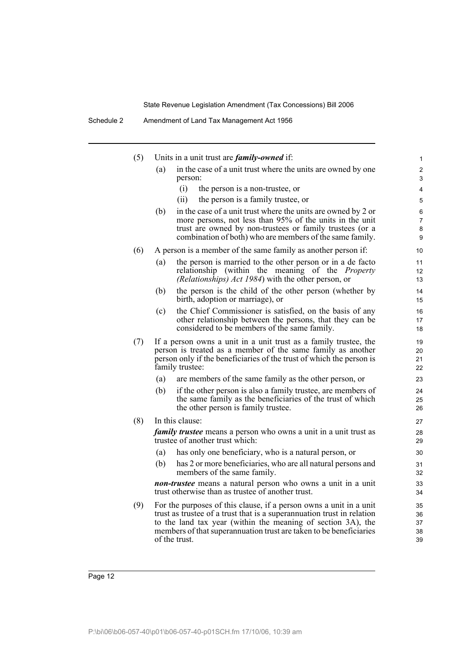Schedule 2 Amendment of Land Tax Management Act 1956

| (5) |     | Units in a unit trust are <i>family-owned</i> if:                                                                                      | 1              |
|-----|-----|----------------------------------------------------------------------------------------------------------------------------------------|----------------|
|     | (a) | in the case of a unit trust where the units are owned by one                                                                           | 2              |
|     |     | person:<br>(i)<br>the person is a non-trustee, or                                                                                      | 3<br>4         |
|     |     | the person is a family trustee, or<br>(ii)                                                                                             | 5              |
|     | (b) | in the case of a unit trust where the units are owned by 2 or                                                                          | 6              |
|     |     | more persons, not less than 95% of the units in the unit                                                                               | $\overline{7}$ |
|     |     | trust are owned by non-trustees or family trustees (or a<br>combination of both) who are members of the same family.                   | 8<br>9         |
| (6) |     | A person is a member of the same family as another person if:                                                                          | 10             |
|     | (a) | the person is married to the other person or in a de facto                                                                             | 11             |
|     |     | relationship (within the meaning of the <i>Property</i><br>(Relationships) Act 1984) with the other person, or                         | 12<br>13       |
|     | (b) | the person is the child of the other person (whether by<br>birth, adoption or marriage), or                                            | 14<br>15       |
|     | (c) | the Chief Commissioner is satisfied, on the basis of any                                                                               | 16             |
|     |     | other relationship between the persons, that they can be<br>considered to be members of the same family.                               | 17<br>18       |
| (7) |     | If a person owns a unit in a unit trust as a family trustee, the                                                                       | 19             |
|     |     | person is treated as a member of the same family as another<br>person only if the beneficiaries of the trust of which the person is    | 20<br>21       |
|     |     | family trustee:                                                                                                                        | 22             |
|     | (a) | are members of the same family as the other person, or                                                                                 | 23             |
|     | (b) | if the other person is also a family trustee, are members of                                                                           | 24             |
|     |     | the same family as the beneficiaries of the trust of which<br>the other person is family trustee.                                      | 25<br>26       |
| (8) |     | In this clause:                                                                                                                        | 27             |
|     |     | <i>family trustee</i> means a person who owns a unit in a unit trust as                                                                | 28             |
|     |     | trustee of another trust which:                                                                                                        | 29             |
|     | (a) | has only one beneficiary, who is a natural person, or                                                                                  | 30             |
|     | (b) | has 2 or more beneficiaries, who are all natural persons and<br>members of the same family.                                            | 31<br>32       |
|     |     | <i>non-trustee</i> means a natural person who owns a unit in a unit<br>trust otherwise than as trustee of another trust.               | 33<br>34       |
| (9) |     | For the purposes of this clause, if a person owns a unit in a unit                                                                     | 35             |
|     |     | trust as trustee of a trust that is a superannuation trust in relation<br>to the land tax year (within the meaning of section 3A), the | 36             |
|     |     | members of that superannuation trust are taken to be beneficiaries                                                                     | 37<br>38       |
|     |     | of the trust.                                                                                                                          | 39             |
|     |     |                                                                                                                                        |                |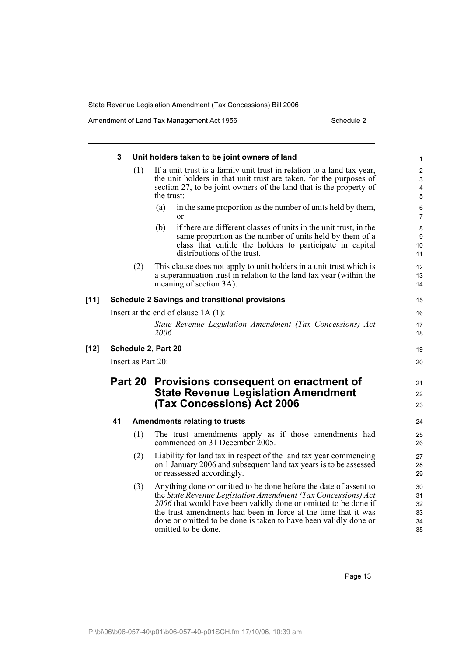Amendment of Land Tax Management Act 1956 Schedule 2

|      | 3  |                    | Unit holders taken to be joint owners of land                                                                                      | $\mathbf{1}$   |
|------|----|--------------------|------------------------------------------------------------------------------------------------------------------------------------|----------------|
|      |    | (1)                | If a unit trust is a family unit trust in relation to a land tax year,                                                             | $\overline{2}$ |
|      |    |                    | the unit holders in that unit trust are taken, for the purposes of                                                                 | 3              |
|      |    |                    | section 27, to be joint owners of the land that is the property of                                                                 | 4              |
|      |    |                    | the trust:                                                                                                                         | $\overline{5}$ |
|      |    |                    | in the same proportion as the number of units held by them,<br>(a)                                                                 | 6              |
|      |    |                    | $\alpha$                                                                                                                           | $\overline{7}$ |
|      |    |                    | if there are different classes of units in the unit trust, in the<br>(b)                                                           | 8              |
|      |    |                    | same proportion as the number of units held by them of a<br>class that entitle the holders to participate in capital               | 9<br>10        |
|      |    |                    | distributions of the trust.                                                                                                        | 11             |
|      |    | (2)                | This clause does not apply to unit holders in a unit trust which is                                                                |                |
|      |    |                    | a superannuation trust in relation to the land tax year (within the                                                                | 12<br>13       |
|      |    |                    | meaning of section 3A).                                                                                                            | 14             |
|      |    |                    |                                                                                                                                    |                |
| [11] |    |                    | <b>Schedule 2 Savings and transitional provisions</b>                                                                              | 15             |
|      |    |                    | Insert at the end of clause $1A(1)$ :                                                                                              | 16             |
|      |    |                    | State Revenue Legislation Amendment (Tax Concessions) Act                                                                          | 17             |
|      |    |                    | 2006                                                                                                                               | 18             |
| [12] |    |                    | Schedule 2, Part 20                                                                                                                | 19             |
|      |    | Insert as Part 20: |                                                                                                                                    | 20             |
|      |    | Part 20            | Provisions consequent on enactment of                                                                                              | 21             |
|      |    |                    | <b>State Revenue Legislation Amendment</b>                                                                                         | 22             |
|      |    |                    | (Tax Concessions) Act 2006                                                                                                         | 23             |
|      |    |                    |                                                                                                                                    |                |
|      | 41 |                    | <b>Amendments relating to trusts</b>                                                                                               | 24             |
|      |    | (1)                | The trust amendments apply as if those amendments had                                                                              | 25             |
|      |    |                    | commenced on 31 December 2005.                                                                                                     | 26             |
|      |    | (2)                | Liability for land tax in respect of the land tax year commencing                                                                  | 27             |
|      |    |                    | on 1 January 2006 and subsequent land tax years is to be assessed                                                                  | 28             |
|      |    |                    | or reassessed accordingly.                                                                                                         | 29             |
|      |    | (3)                | Anything done or omitted to be done before the date of assent to                                                                   | 30             |
|      |    |                    | the State Revenue Legislation Amendment (Tax Concessions) Act                                                                      | 31             |
|      |    |                    | 2006 that would have been validly done or omitted to be done if                                                                    | 32             |
|      |    |                    | the trust amendments had been in force at the time that it was<br>done or omitted to be done is taken to have been validly done or | 33             |
|      |    |                    | omitted to be done.                                                                                                                | 34             |
|      |    |                    |                                                                                                                                    | 35             |

Page 13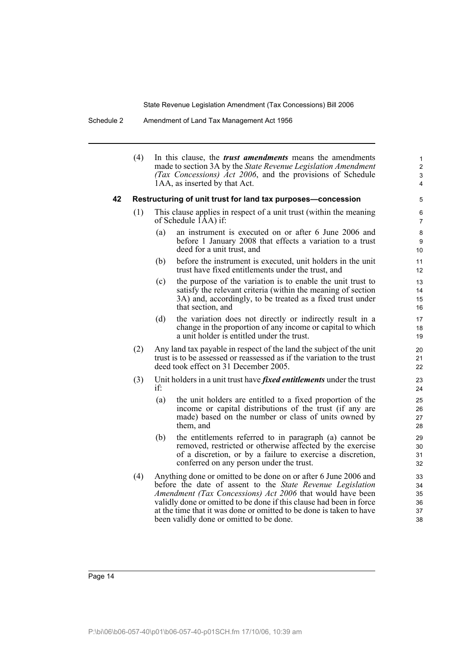Schedule 2 Amendment of Land Tax Management Act 1956

(4) In this clause, the *trust amendments* means the amendments made to section 3A by the *State Revenue Legislation Amendment (Tax Concessions) Act 2006*, and the provisions of Schedule 1AA, as inserted by that Act.

#### **42 Restructuring of unit trust for land tax purposes—concession**

- (1) This clause applies in respect of a unit trust (within the meaning of Schedule 1AA) if:
	- (a) an instrument is executed on or after 6 June 2006 and before 1 January 2008 that effects a variation to a trust deed for a unit trust, and
	- (b) before the instrument is executed, unit holders in the unit trust have fixed entitlements under the trust, and
	- (c) the purpose of the variation is to enable the unit trust to satisfy the relevant criteria (within the meaning of section 3A) and, accordingly, to be treated as a fixed trust under that section, and
	- (d) the variation does not directly or indirectly result in a change in the proportion of any income or capital to which a unit holder is entitled under the trust.
- (2) Any land tax payable in respect of the land the subject of the unit trust is to be assessed or reassessed as if the variation to the trust deed took effect on 31 December 2005.
- (3) Unit holders in a unit trust have *fixed entitlements* under the trust if:
	- (a) the unit holders are entitled to a fixed proportion of the income or capital distributions of the trust (if any are made) based on the number or class of units owned by them, and
	- (b) the entitlements referred to in paragraph (a) cannot be removed, restricted or otherwise affected by the exercise of a discretion, or by a failure to exercise a discretion, conferred on any person under the trust.
- (4) Anything done or omitted to be done on or after 6 June 2006 and before the date of assent to the *State Revenue Legislation Amendment (Tax Concessions) Act 2006* that would have been validly done or omitted to be done if this clause had been in force at the time that it was done or omitted to be done is taken to have been validly done or omitted to be done.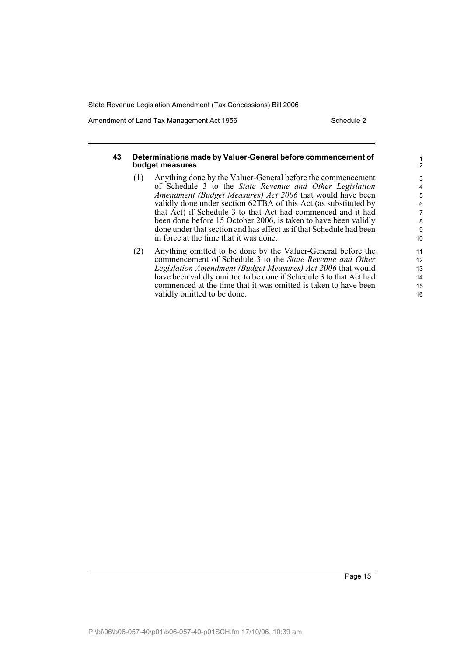Amendment of Land Tax Management Act 1956 Schedule 2

#### **43 Determinations made by Valuer-General before commencement of budget measures**

- (1) Anything done by the Valuer-General before the commencement of Schedule 3 to the *State Revenue and Other Legislation Amendment (Budget Measures) Act 2006* that would have been validly done under section 62TBA of this Act (as substituted by that Act) if Schedule 3 to that Act had commenced and it had been done before 15 October 2006, is taken to have been validly done under that section and has effect as if that Schedule had been in force at the time that it was done.
- (2) Anything omitted to be done by the Valuer-General before the commencement of Schedule 3 to the *State Revenue and Other Legislation Amendment (Budget Measures) Act 2006* that would have been validly omitted to be done if Schedule 3 to that Act had commenced at the time that it was omitted is taken to have been validly omitted to be done.

16

1 2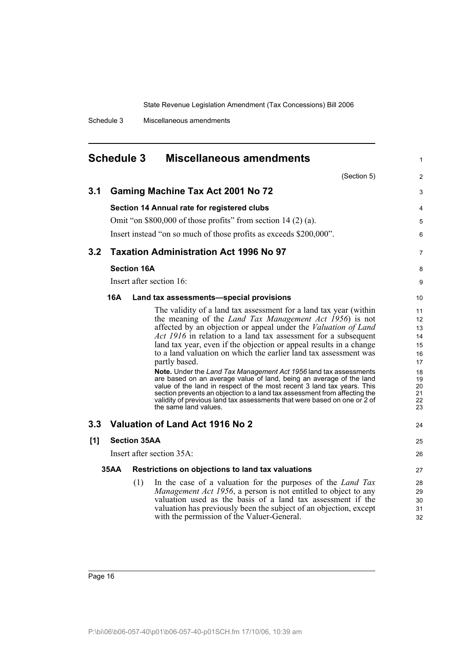<span id="page-25-0"></span>

| <b>Schedule 3</b><br><b>Miscellaneous amendments</b> |                                                |                          |                                                                                                                                                                                                                                                                                                                                                                                                                                                                                                                                                                                                                                                                                                                                                                                                                                                           |                                                                            |  |
|------------------------------------------------------|------------------------------------------------|--------------------------|-----------------------------------------------------------------------------------------------------------------------------------------------------------------------------------------------------------------------------------------------------------------------------------------------------------------------------------------------------------------------------------------------------------------------------------------------------------------------------------------------------------------------------------------------------------------------------------------------------------------------------------------------------------------------------------------------------------------------------------------------------------------------------------------------------------------------------------------------------------|----------------------------------------------------------------------------|--|
|                                                      |                                                |                          | (Section 5)                                                                                                                                                                                                                                                                                                                                                                                                                                                                                                                                                                                                                                                                                                                                                                                                                                               | 2                                                                          |  |
| 3.1                                                  | <b>Gaming Machine Tax Act 2001 No 72</b>       |                          |                                                                                                                                                                                                                                                                                                                                                                                                                                                                                                                                                                                                                                                                                                                                                                                                                                                           |                                                                            |  |
|                                                      |                                                |                          | Section 14 Annual rate for registered clubs                                                                                                                                                                                                                                                                                                                                                                                                                                                                                                                                                                                                                                                                                                                                                                                                               | 4                                                                          |  |
|                                                      |                                                |                          | Omit "on $$800,000$ of those profits" from section 14 (2) (a).                                                                                                                                                                                                                                                                                                                                                                                                                                                                                                                                                                                                                                                                                                                                                                                            | 5                                                                          |  |
|                                                      |                                                |                          | Insert instead "on so much of those profits as exceeds \$200,000".                                                                                                                                                                                                                                                                                                                                                                                                                                                                                                                                                                                                                                                                                                                                                                                        | 6                                                                          |  |
| 3.2                                                  |                                                |                          | <b>Taxation Administration Act 1996 No 97</b>                                                                                                                                                                                                                                                                                                                                                                                                                                                                                                                                                                                                                                                                                                                                                                                                             | 7                                                                          |  |
|                                                      |                                                | <b>Section 16A</b>       |                                                                                                                                                                                                                                                                                                                                                                                                                                                                                                                                                                                                                                                                                                                                                                                                                                                           | 8                                                                          |  |
|                                                      |                                                | Insert after section 16: | 9                                                                                                                                                                                                                                                                                                                                                                                                                                                                                                                                                                                                                                                                                                                                                                                                                                                         |                                                                            |  |
|                                                      | 16A<br>Land tax assessments—special provisions |                          |                                                                                                                                                                                                                                                                                                                                                                                                                                                                                                                                                                                                                                                                                                                                                                                                                                                           |                                                                            |  |
|                                                      |                                                |                          | The validity of a land tax assessment for a land tax year (within<br>the meaning of the <i>Land Tax Management Act 1956</i> ) is not<br>affected by an objection or appeal under the <i>Valuation of Land</i><br>Act 1916 in relation to a land tax assessment for a subsequent<br>land tax year, even if the objection or appeal results in a change<br>to a land valuation on which the earlier land tax assessment was<br>partly based.<br><b>Note.</b> Under the Land Tax Management Act 1956 land tax assessments<br>are based on an average value of land, being an average of the land<br>value of the land in respect of the most recent 3 land tax years. This<br>section prevents an objection to a land tax assessment from affecting the<br>validity of previous land tax assessments that were based on one or 2 of<br>the same land values. | 11<br>12<br>13<br>14<br>15<br>16<br>17<br>18<br>19<br>20<br>21<br>22<br>23 |  |
| 3.3                                                  |                                                |                          | Valuation of Land Act 1916 No 2                                                                                                                                                                                                                                                                                                                                                                                                                                                                                                                                                                                                                                                                                                                                                                                                                           | 24                                                                         |  |
| [1]                                                  |                                                | <b>Section 35AA</b>      |                                                                                                                                                                                                                                                                                                                                                                                                                                                                                                                                                                                                                                                                                                                                                                                                                                                           | 25                                                                         |  |
|                                                      |                                                |                          | Insert after section 35A:                                                                                                                                                                                                                                                                                                                                                                                                                                                                                                                                                                                                                                                                                                                                                                                                                                 | 26                                                                         |  |
|                                                      | 35AA                                           |                          | Restrictions on objections to land tax valuations                                                                                                                                                                                                                                                                                                                                                                                                                                                                                                                                                                                                                                                                                                                                                                                                         | 27                                                                         |  |
|                                                      |                                                | (1)                      | In the case of a valuation for the purposes of the <i>Land Tax</i><br>Management Act 1956, a person is not entitled to object to any<br>valuation used as the basis of a land tax assessment if the<br>valuation has previously been the subject of an objection, except<br>with the permission of the Valuer-General.                                                                                                                                                                                                                                                                                                                                                                                                                                                                                                                                    | 28<br>29<br>30<br>31<br>32                                                 |  |